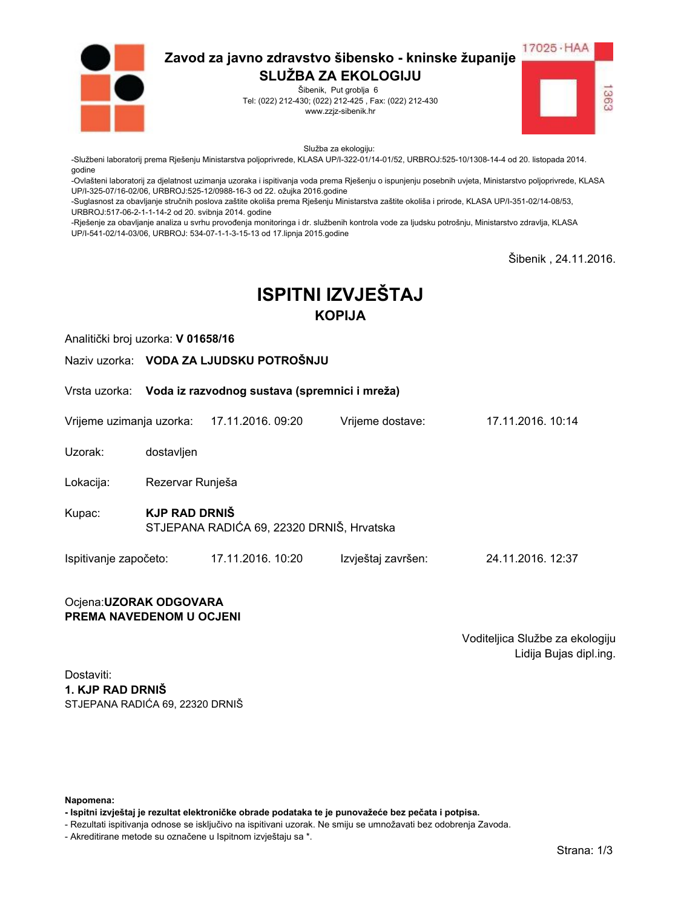

Šibenik, Put groblja 6 Tel: (022) 212-430; (022) 212-425, Fax: (022) 212-430 www.zzjz-sibenik.hr



Služba za ekologiju:

-Službeni laboratorij prema Rješenju Ministarstva poljoprivrede, KLASA UP/I-322-01/14-01/52, URBROJ:525-10/1308-14-4 od 20. listopada 2014. godine

-Ovlašteni laboratorij za djelatnost uzimanja uzoraka i ispitivanja voda prema Rješenju o ispunjenju posebnih uvjeta, Ministarstvo poljoprivrede, KLASA UP/I-325-07/16-02/06. URBROJ:525-12/0988-16-3 od 22. ožujka 2016.godine

-Suglasnost za obavljanje stručnih poslova zaštite okoliša prema Rješenju Ministarstva zaštite okoliša i prirode, KLASA UP/I-351-02/14-08/53, URBROJ:517-06-2-1-1-14-2 od 20. svibnja 2014. godine

-Rješenje za obavljanje analiza u svrhu provođenja monitoringa i dr. službenih kontrola vode za ljudsku potrošnju, Ministarstvo zdravlja, KLASA UP/I-541-02/14-03/06, URBROJ: 534-07-1-1-3-15-13 od 17.lipnja 2015.godine

Šibenik. 24.11.2016.

# **ISPITNI IZVJEŠTAJ KOPIJA**

Vriieme dostave:

Analitički broj uzorka: V 01658/16

Naziv uzorka: VODA ZA LJUDSKU POTROŠNJU

Vrsta uzorka: Voda iz razvodnog sustava (spremnici i mreža)

Vrijeme uzimanja uzorka: 17.11.2016. 09:20

Uzorak: dostavljen

Lokacija: Rezervar Runješa

**KJP RAD DRNIŠ** Kupac: STJEPANA RADIĆA 69, 22320 DRNIŠ, Hrvatska

Ispitivanje započeto: 17.11.2016. 10:20 Izvještaj završen: 24.11.2016. 12:37

#### Ocjena: UZORAK ODGOVARA PREMA NAVEDENOM U OCJENI

Voditeljica Službe za ekologiju Lidija Bujas dipl.ing.

17 11 2016 10:14

Dostaviti: 1. KJP RAD DRNIŠ STJEPANA RADIĆA 69. 22320 DRNIŠ

Napomena:

- Ispitni izvještaj je rezultat elektroničke obrade podataka te je punovažeće bez pečata i potpisa.

- Rezultati ispitivanja odnose se isključivo na ispitivani uzorak. Ne smiju se umnožavati bez odobrenja Zavoda.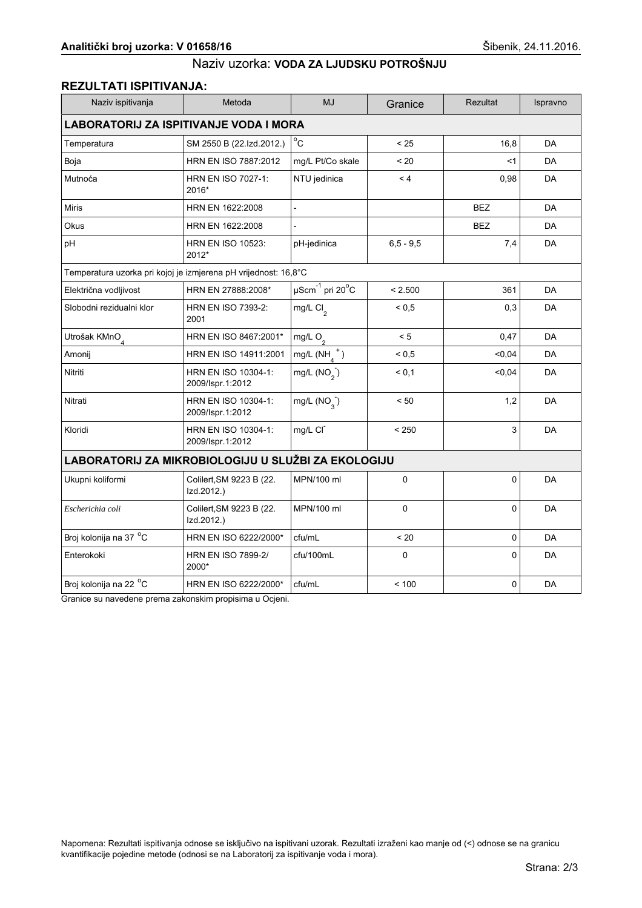#### REZULTATI ISPITIVANJA:

| Naziv ispitivanja                                               | Metoda                                  | <b>MJ</b>                                     | Granice      | <b>Rezultat</b> | Ispravno  |  |
|-----------------------------------------------------------------|-----------------------------------------|-----------------------------------------------|--------------|-----------------|-----------|--|
| <b>LABORATORIJ ZA ISPITIVANJE VODA I MORA</b>                   |                                         |                                               |              |                 |           |  |
| Temperatura                                                     | SM 2550 B (22.Izd.2012.)                | $^{\circ}$ C                                  | < 25         | 16,8            | DA        |  |
| Boja                                                            | HRN EN ISO 7887:2012                    | mg/L Pt/Co skale                              | < 20         | <1              | <b>DA</b> |  |
| Mutnoća                                                         | HRN EN ISO 7027-1:<br>2016*             | NTU jedinica                                  | < 4          | 0,98            | <b>DA</b> |  |
| <b>Miris</b>                                                    | HRN EN 1622:2008                        | $\overline{a}$                                |              | <b>BEZ</b>      | <b>DA</b> |  |
| Okus                                                            | HRN EN 1622:2008                        |                                               |              | <b>BEZ</b>      | DA        |  |
| pH                                                              | <b>HRN EN ISO 10523:</b><br>2012*       | pH-jedinica                                   | $6.5 - 9.5$  | 7,4             | DA        |  |
| Temperatura uzorka pri kojoj je izmjerena pH vrijednost: 16,8°C |                                         |                                               |              |                 |           |  |
| Električna vodljivost                                           | HRN EN 27888:2008*                      | $\mu$ Scm <sup>-1</sup> pri 20 <sup>°</sup> C | < 2.500      | 361             | DA        |  |
| Slobodni rezidualni klor                                        | HRN EN ISO 7393-2:<br>2001              | mg/L Cl <sub>2</sub>                          | ${}^{5}$ 0.5 | 0,3             | <b>DA</b> |  |
| Utrošak KMnO <sub>4</sub>                                       | HRN EN ISO 8467:2001*                   | mg/L $O_2$                                    | < 5          | 0,47            | <b>DA</b> |  |
| Amonij                                                          | HRN EN ISO 14911:2001                   | mg/L $(NH_A^+)$                               | ${}^{5}$ 0.5 | < 0,04          | <b>DA</b> |  |
| Nitriti                                                         | HRN EN ISO 10304-1:<br>2009/Ispr.1:2012 | mg/L $(NO2)$                                  | < 0.1        | $0,04$          | DA        |  |
| Nitrati                                                         | HRN EN ISO 10304-1:<br>2009/Ispr.1:2012 | mg/L $(NO_{3})$                               | < 50         | 1,2             | DA        |  |
| Kloridi                                                         | HRN EN ISO 10304-1:<br>2009/Ispr.1:2012 | mg/L CI                                       | < 250        | 3               | DA        |  |
| LABORATORIJ ZA MIKROBIOLOGIJU U SLUŽBI ZA EKOLOGIJU             |                                         |                                               |              |                 |           |  |
| Ukupni koliformi                                                | Colilert, SM 9223 B (22.<br>Izd.2012.)  | MPN/100 ml                                    | 0            | 0               | DA        |  |
| Escherichia coli                                                | Colilert, SM 9223 B (22.<br>Izd.2012.)  | MPN/100 ml                                    | 0            | 0               | <b>DA</b> |  |
| Broj kolonija na 37 °C                                          | HRN EN ISO 6222/2000*                   | cfu/mL                                        | < 20         | 0               | DA        |  |
| Enterokoki                                                      | <b>HRN EN ISO 7899-2/</b><br>2000*      | cfu/100mL                                     | 0            | 0               | DA        |  |
| Broj kolonija na 22 <sup>o</sup> C                              | HRN EN ISO 6222/2000*                   | cfu/mL                                        | < 100        | 0               | DA        |  |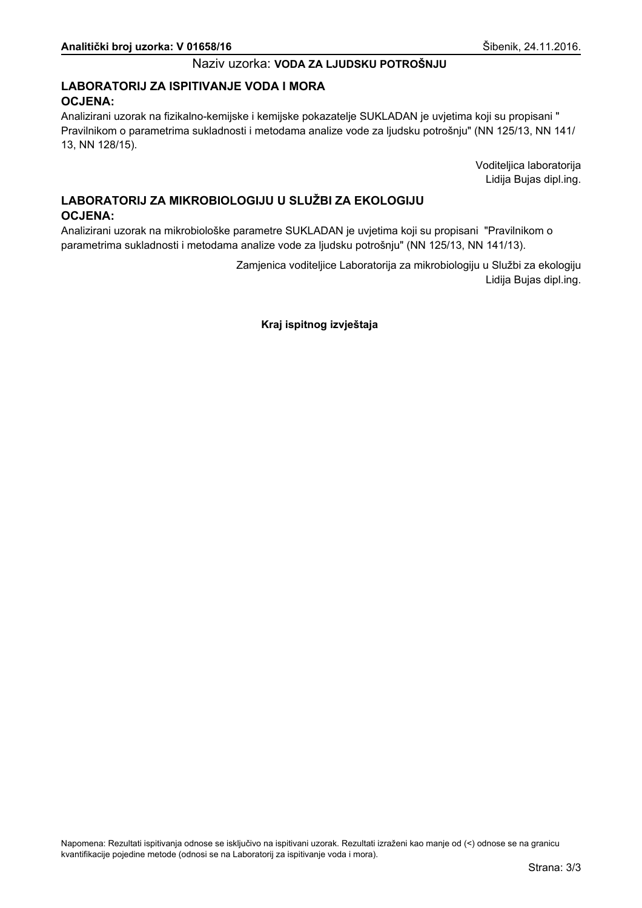## LABORATORIJ ZA ISPITIVANJE VODA I MORA **OCJENA:**

Analizirani uzorak na fizikalno-kemijske i kemijske pokazatelje SUKLADAN je uvjetima koji su propisani " Pravilnikom o parametrima sukladnosti i metodama analize vode za ljudsku potrošnju" (NN 125/13, NN 141/ 13, NN 128/15).

> Voditeljica laboratorija Lidija Bujas dipl.ing.

# LABORATORIJ ZA MIKROBIOLOGIJU U SLUŽBI ZA EKOLOGIJU **OCJENA:**

Analizirani uzorak na mikrobiološke parametre SUKLADAN je uvjetima koji su propisani "Pravilnikom o parametrima sukladnosti i metodama analize vode za ljudsku potrošnju" (NN 125/13, NN 141/13).

> Zamjenica voditeljice Laboratorija za mikrobiologiju u Službi za ekologiju Lidija Bujas dipl.ing.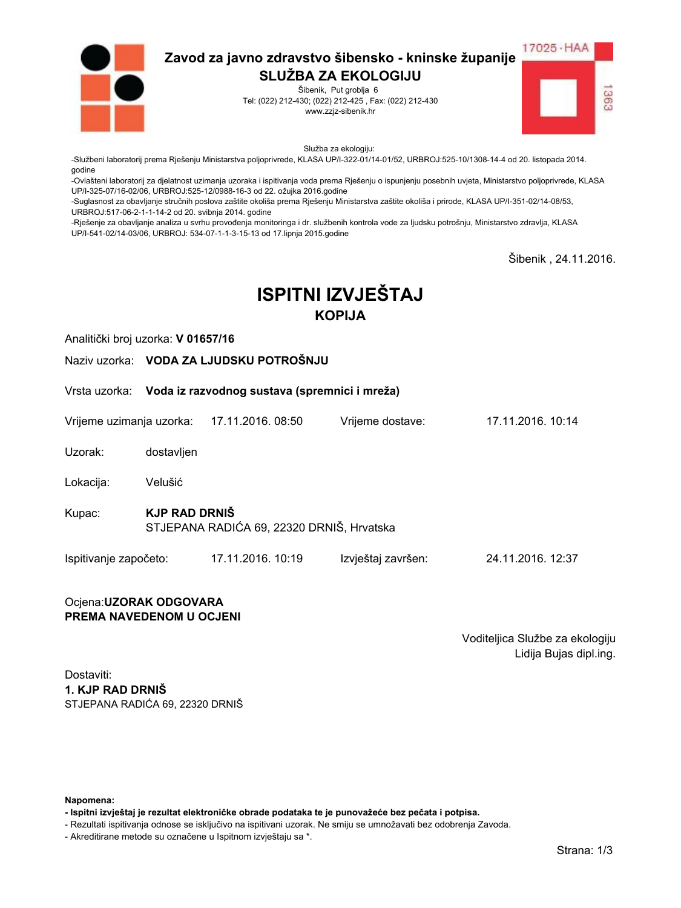

Šibenik, Put groblja 6 Tel: (022) 212-430; (022) 212-425, Fax: (022) 212-430 www.zzjz-sibenik.hr



Služba za ekologiju:

-Službeni laboratorij prema Rješenju Ministarstva poljoprivrede, KLASA UP/I-322-01/14-01/52, URBROJ:525-10/1308-14-4 od 20. listopada 2014. godine

-Ovlašteni laboratorij za djelatnost uzimanja uzoraka i ispitivanja voda prema Rješenju o ispunjenju posebnih uvjeta, Ministarstvo poljoprivrede, KLASA UP/I-325-07/16-02/06. URBROJ:525-12/0988-16-3 od 22. ožujka 2016.godine

-Suglasnost za obavljanje stručnih poslova zaštite okoliša prema Rješenju Ministarstva zaštite okoliša i prirode, KLASA UP/I-351-02/14-08/53, URBROJ:517-06-2-1-1-14-2 od 20. svibnja 2014. godine

-Rješenje za obavljanje analiza u svrhu provođenja monitoringa i dr. službenih kontrola vode za ljudsku potrošnju, Ministarstvo zdravlja, KLASA UP/I-541-02/14-03/06, URBROJ: 534-07-1-1-3-15-13 od 17.lipnja 2015.godine

Šibenik. 24.11.2016.

# **ISPITNI IZVJEŠTAJ KOPIJA**

Vriieme dostave:

Analitički broj uzorka: V 01657/16

Naziv uzorka: VODA ZA LJUDSKU POTROŠNJU

Vrsta uzorka: Voda iz razvodnog sustava (spremnici i mreža)

Vrijeme uzimanja uzorka: 17.11.2016. 08:50

Uzorak: dostavljen

Velušić Lokacija:

**KJP RAD DRNIŠ** Kupac: STJEPANA RADIĆA 69, 22320 DRNIŠ, Hrvatska

Ispitivanje započeto: 17.11.2016. 10:19 Izvještaj završen: 24.11.2016. 12:37

#### Ocjena: UZORAK ODGOVARA PREMA NAVEDENOM U OCJENI

Voditeljica Službe za ekologiju Lidija Bujas dipl.ing.

17 11 2016 10:14

Dostaviti: 1. KJP RAD DRNIŠ STJEPANA RADIĆA 69. 22320 DRNIŠ

Napomena:

- Ispitni izvještaj je rezultat elektroničke obrade podataka te je punovažeće bez pečata i potpisa.

- Rezultati ispitivanja odnose se isključivo na ispitivani uzorak. Ne smiju se umnožavati bez odobrenja Zavoda.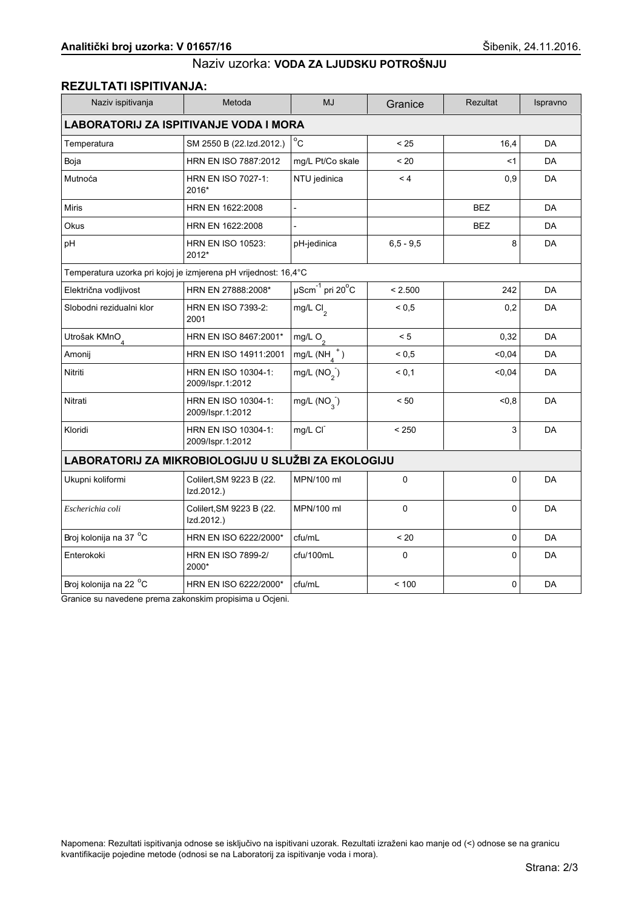#### REZULTATI ISPITIVANJA:

| Naziv ispitivanja                                               | Metoda                                  | <b>MJ</b>                                     | Granice       | <b>Rezultat</b> | Ispravno  |  |
|-----------------------------------------------------------------|-----------------------------------------|-----------------------------------------------|---------------|-----------------|-----------|--|
| <b>LABORATORIJ ZA ISPITIVANJE VODA I MORA</b>                   |                                         |                                               |               |                 |           |  |
| Temperatura                                                     | SM 2550 B (22.Izd.2012.)                | $^{\circ}$ C                                  | < 25          | 16,4            | DA        |  |
| Boja                                                            | HRN EN ISO 7887:2012                    | mg/L Pt/Co skale                              | < 20          | <1              | <b>DA</b> |  |
| Mutnoća                                                         | HRN EN ISO 7027-1:<br>2016*             | NTU jedinica                                  | < 4           | 0,9             | <b>DA</b> |  |
| <b>Miris</b>                                                    | HRN EN 1622:2008                        | $\overline{a}$                                |               | <b>BEZ</b>      | <b>DA</b> |  |
| Okus                                                            | HRN EN 1622:2008                        |                                               |               | <b>BEZ</b>      | DA        |  |
| pH                                                              | <b>HRN EN ISO 10523:</b><br>2012*       | pH-jedinica                                   | $6, 5 - 9, 5$ | 8               | DA        |  |
| Temperatura uzorka pri kojoj je izmjerena pH vrijednost: 16,4°C |                                         |                                               |               |                 |           |  |
| Električna vodljivost                                           | HRN EN 27888:2008*                      | $\mu$ Scm <sup>-1</sup> pri 20 <sup>°</sup> C | < 2.500       | 242             | DA        |  |
| Slobodni rezidualni klor                                        | HRN EN ISO 7393-2:<br>2001              | mg/L Cl <sub>2</sub>                          | ${}^{5}$ 0.5  | 0,2             | <b>DA</b> |  |
| Utrošak KMnO <sub>4</sub>                                       | HRN EN ISO 8467:2001*                   | mg/L $O_2$                                    | < 5           | 0,32            | <b>DA</b> |  |
| Amonij                                                          | HRN EN ISO 14911:2001                   | mg/L $(NH_A^+)$                               | ${}^{5}$ 0.5  | < 0,04          | <b>DA</b> |  |
| Nitriti                                                         | HRN EN ISO 10304-1:<br>2009/Ispr.1:2012 | mg/L $(NO2)$                                  | < 0.1         | < 0,04          | DA        |  |
| Nitrati                                                         | HRN EN ISO 10304-1:<br>2009/Ispr.1:2012 | mg/L $(NO_{3})$                               | < 50          | <0.8            | DA        |  |
| Kloridi                                                         | HRN EN ISO 10304-1:<br>2009/Ispr.1:2012 | mg/L CI                                       | < 250         | 3               | DA        |  |
| LABORATORIJ ZA MIKROBIOLOGIJU U SLUŽBI ZA EKOLOGIJU             |                                         |                                               |               |                 |           |  |
| Ukupni koliformi                                                | Colilert, SM 9223 B (22.<br>Izd.2012.)  | MPN/100 ml                                    | 0             | 0               | DA        |  |
| Escherichia coli                                                | Colilert, SM 9223 B (22.<br>Izd.2012.)  | MPN/100 ml                                    | 0             | 0               | <b>DA</b> |  |
| Broj kolonija na 37 °C                                          | HRN EN ISO 6222/2000*                   | cfu/mL                                        | < 20          | 0               | DA        |  |
| Enterokoki                                                      | <b>HRN EN ISO 7899-2/</b><br>2000*      | cfu/100mL                                     | 0             | 0               | DA        |  |
| Broj kolonija na 22 <sup>o</sup> C                              | HRN EN ISO 6222/2000*                   | cfu/mL                                        | < 100         | 0               | DA        |  |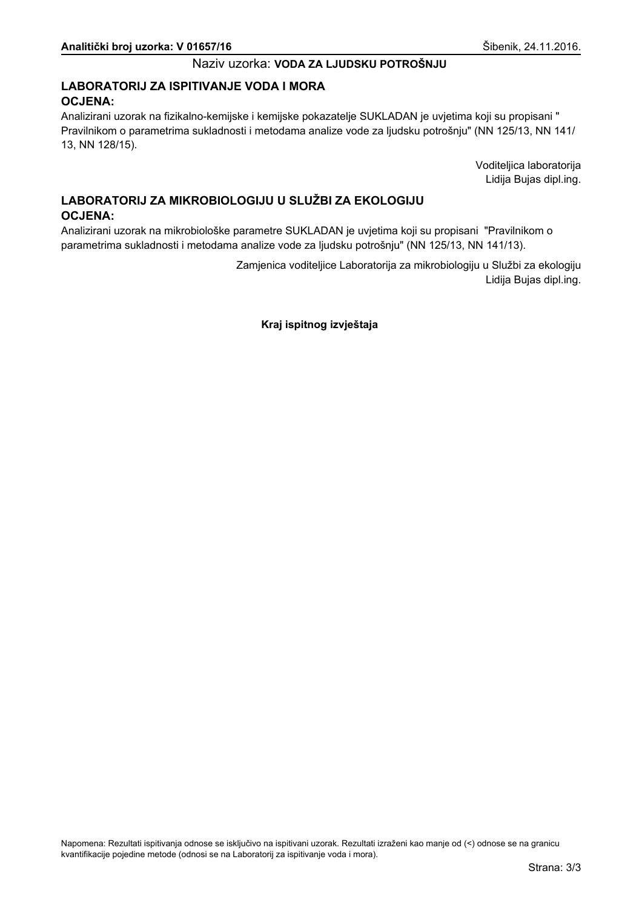## LABORATORIJ ZA ISPITIVANJE VODA I MORA **OCJENA:**

Analizirani uzorak na fizikalno-kemijske i kemijske pokazatelje SUKLADAN je uvjetima koji su propisani " Pravilnikom o parametrima sukladnosti i metodama analize vode za ljudsku potrošnju" (NN 125/13, NN 141/ 13, NN 128/15).

> Voditeljica laboratorija Lidija Bujas dipl.ing.

# LABORATORIJ ZA MIKROBIOLOGIJU U SLUŽBI ZA EKOLOGIJU **OCJENA:**

Analizirani uzorak na mikrobiološke parametre SUKLADAN je uvjetima koji su propisani "Pravilnikom o parametrima sukladnosti i metodama analize vode za ljudsku potrošnju" (NN 125/13, NN 141/13).

> Zamjenica voditeljice Laboratorija za mikrobiologiju u Službi za ekologiju Lidija Bujas dipl.ing.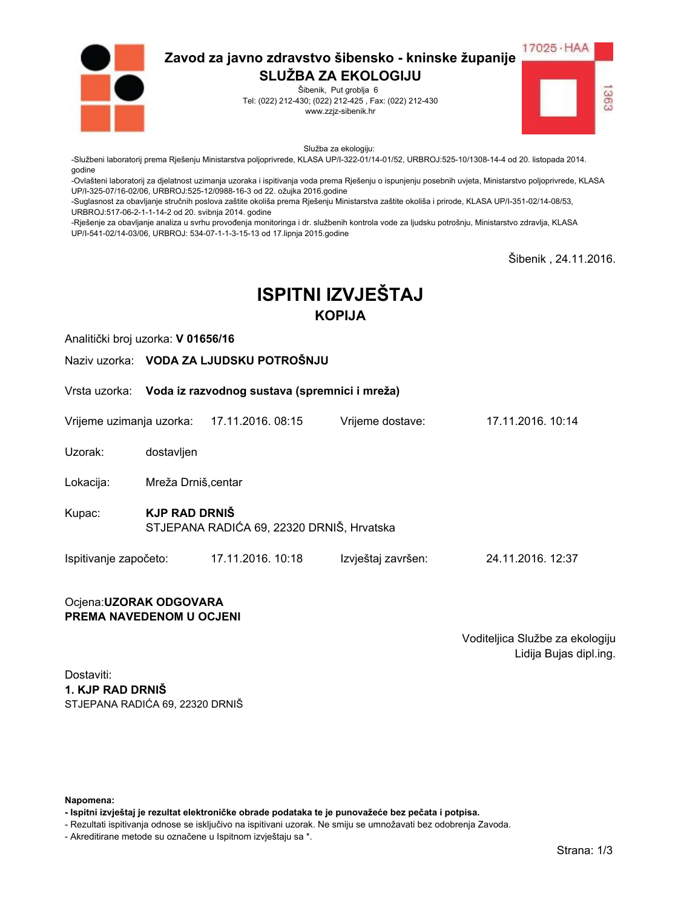

Šibenik, Put groblja 6 Tel: (022) 212-430; (022) 212-425, Fax: (022) 212-430 www.zzjz-sibenik.hr



Služba za ekologiju:

-Službeni laboratorij prema Rješenju Ministarstva poljoprivrede, KLASA UP/I-322-01/14-01/52, URBROJ:525-10/1308-14-4 od 20. listopada 2014. godine

-Ovlašteni laboratorij za djelatnost uzimanja uzoraka i ispitivanja voda prema Rješenju o ispunjenju posebnih uvjeta, Ministarstvo poljoprivrede, KLASA UP/I-325-07/16-02/06. URBROJ:525-12/0988-16-3 od 22. ožujka 2016.godine

-Suglasnost za obavljanje stručnih poslova zaštite okoliša prema Rješenju Ministarstva zaštite okoliša i prirode, KLASA UP/I-351-02/14-08/53, URBROJ:517-06-2-1-1-14-2 od 20. svibnja 2014. godine

-Rješenje za obavljanje analiza u svrhu provođenja monitoringa i dr. službenih kontrola vode za ljudsku potrošnju, Ministarstvo zdravlja, KLASA UP/I-541-02/14-03/06, URBROJ: 534-07-1-1-3-15-13 od 17.lipnja 2015.godine

Šibenik. 24.11.2016.

# **ISPITNI IZVJEŠTAJ KOPIJA**

Analitički broj uzorka: V 01656/16

Naziv uzorka: VODA ZA LJUDSKU POTROŠNJU

Vrsta uzorka: Voda iz razvodnog sustava (spremnici i mreža)

Vrijeme uzimanja uzorka: 17.11.2016. 08:15 Vriieme dostave:

Uzorak: dostavljen

Lokacija: Mreža Drniš.centar

- **KJP RAD DRNIŠ** Kupac: STJEPANA RADIĆA 69, 22320 DRNIŠ, Hrvatska
- Ispitivanje započeto: 17.11.2016. 10:18 Izvještaj završen: 24.11.2016. 12:37

#### Ocjena: UZORAK ODGOVARA PREMA NAVEDENOM U OCJENI

Voditeljica Službe za ekologiju Lidija Bujas dipl.ing.

17 11 2016 10:14

Dostaviti: 1. KJP RAD DRNIŠ STJEPANA RADIĆA 69. 22320 DRNIŠ

Napomena:

- Ispitni izvještaj je rezultat elektroničke obrade podataka te je punovažeće bez pečata i potpisa.

- Rezultati ispitivanja odnose se isključivo na ispitivani uzorak. Ne smiju se umnožavati bez odobrenja Zavoda.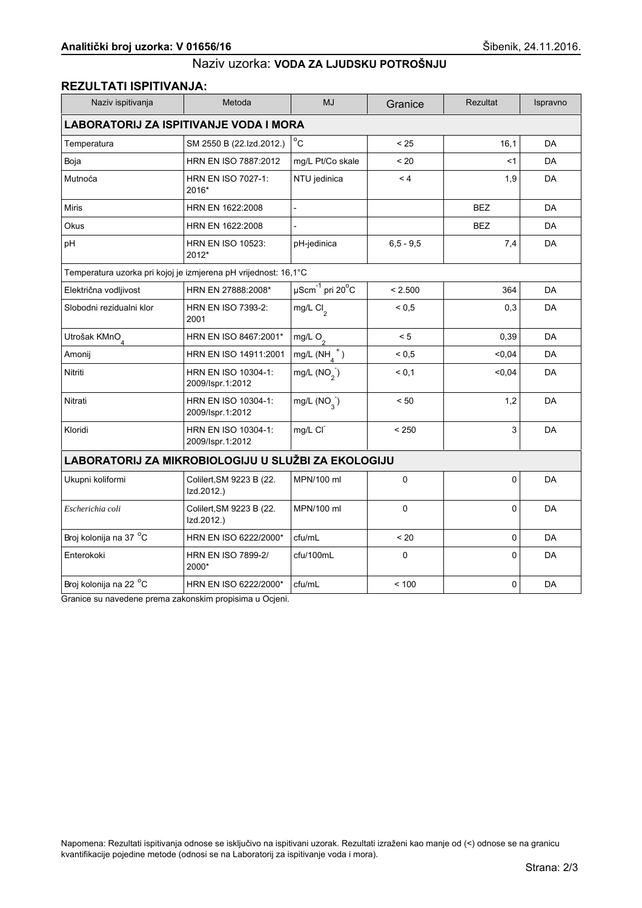#### REZULTATI ISPITIVANJA:

| Naziv ispitivanja                                               | Metoda                                  | <b>MJ</b>                                     | Granice      | <b>Rezultat</b> | Ispravno  |  |
|-----------------------------------------------------------------|-----------------------------------------|-----------------------------------------------|--------------|-----------------|-----------|--|
| <b>LABORATORIJ ZA ISPITIVANJE VODA I MORA</b>                   |                                         |                                               |              |                 |           |  |
| Temperatura                                                     | SM 2550 B (22.Izd.2012.)                | $^{\circ}$ C                                  | < 25         | 16,1            | DA        |  |
| Boja                                                            | HRN EN ISO 7887:2012                    | mg/L Pt/Co skale                              | < 20         | <1              | <b>DA</b> |  |
| Mutnoća                                                         | HRN EN ISO 7027-1:<br>2016*             | NTU jedinica                                  | < 4          | 1,9             | <b>DA</b> |  |
| <b>Miris</b>                                                    | HRN EN 1622:2008                        | $\overline{a}$                                |              | <b>BEZ</b>      | <b>DA</b> |  |
| Okus                                                            | HRN EN 1622:2008                        |                                               |              | <b>BEZ</b>      | DA        |  |
| pH                                                              | <b>HRN EN ISO 10523:</b><br>2012*       | pH-jedinica                                   | $6.5 - 9.5$  | 7,4             | DA        |  |
| Temperatura uzorka pri kojoj je izmjerena pH vrijednost: 16,1°C |                                         |                                               |              |                 |           |  |
| Električna vodljivost                                           | HRN EN 27888:2008*                      | $\mu$ Scm <sup>-1</sup> pri 20 <sup>°</sup> C | < 2.500      | 364             | DA        |  |
| Slobodni rezidualni klor                                        | HRN EN ISO 7393-2:<br>2001              | mg/L Cl <sub>2</sub>                          | ${}^{5}$ 0.5 | 0,3             | <b>DA</b> |  |
| Utrošak KMnO <sub>4</sub>                                       | HRN EN ISO 8467:2001*                   | mg/L $O_2$                                    | < 5          | 0,39            | <b>DA</b> |  |
| Amonij                                                          | HRN EN ISO 14911:2001                   | mg/L $(NH_A^+)$                               | ${}^{5}$ 0.5 | < 0,04          | <b>DA</b> |  |
| Nitriti                                                         | HRN EN ISO 10304-1:<br>2009/Ispr.1:2012 | mg/L $(NO2)$                                  | < 0.1        | $0,04$          | DA        |  |
| Nitrati                                                         | HRN EN ISO 10304-1:<br>2009/Ispr.1:2012 | mg/L $(NO_{3})$                               | < 50         | 1,2             | DA        |  |
| Kloridi                                                         | HRN EN ISO 10304-1:<br>2009/Ispr.1:2012 | mg/L CI                                       | < 250        | 3               | DA        |  |
| LABORATORIJ ZA MIKROBIOLOGIJU U SLUŽBI ZA EKOLOGIJU             |                                         |                                               |              |                 |           |  |
| Ukupni koliformi                                                | Colilert, SM 9223 B (22.<br>Izd.2012.)  | MPN/100 ml                                    | 0            | 0               | DA        |  |
| Escherichia coli                                                | Colilert, SM 9223 B (22.<br>Izd.2012.)  | MPN/100 ml                                    | 0            | 0               | <b>DA</b> |  |
| Broj kolonija na 37 °C                                          | HRN EN ISO 6222/2000*                   | cfu/mL                                        | < 20         | 0               | DA        |  |
| Enterokoki                                                      | <b>HRN EN ISO 7899-2/</b><br>2000*      | cfu/100mL                                     | 0            | 0               | DA        |  |
| Broj kolonija na 22 <sup>o</sup> C                              | HRN EN ISO 6222/2000*                   | cfu/mL                                        | < 100        | 0               | DA        |  |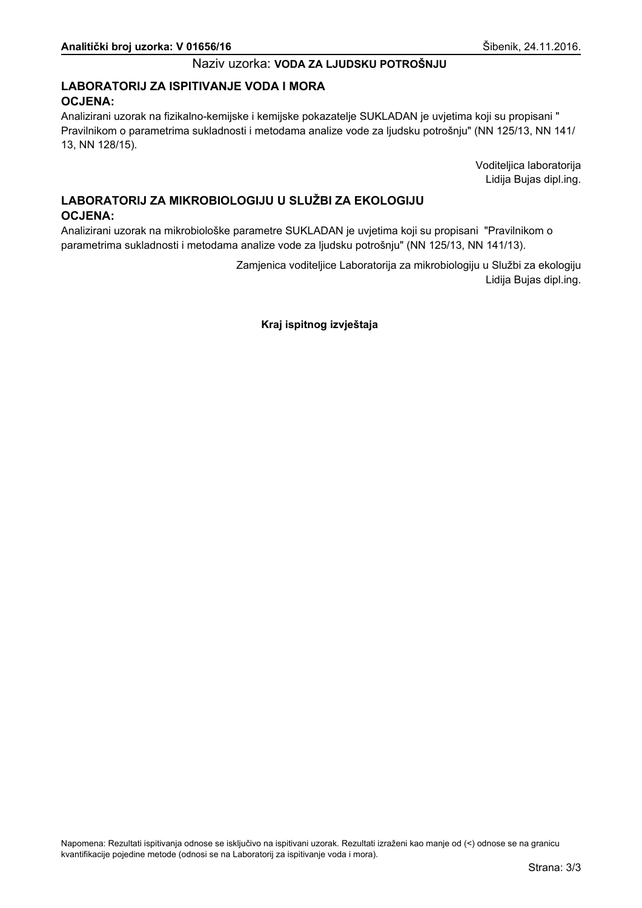## LABORATORIJ ZA ISPITIVANJE VODA I MORA **OCJENA:**

Analizirani uzorak na fizikalno-kemijske i kemijske pokazatelje SUKLADAN je uvjetima koji su propisani " Pravilnikom o parametrima sukladnosti i metodama analize vode za ljudsku potrošnju" (NN 125/13, NN 141/ 13, NN 128/15).

> Voditeljica laboratorija Lidija Bujas dipl.ing.

# LABORATORIJ ZA MIKROBIOLOGIJU U SLUŽBI ZA EKOLOGIJU **OCJENA:**

Analizirani uzorak na mikrobiološke parametre SUKLADAN je uvjetima koji su propisani "Pravilnikom o parametrima sukladnosti i metodama analize vode za ljudsku potrošnju" (NN 125/13, NN 141/13).

> Zamjenica voditeljice Laboratorija za mikrobiologiju u Službi za ekologiju Lidija Bujas dipl.ing.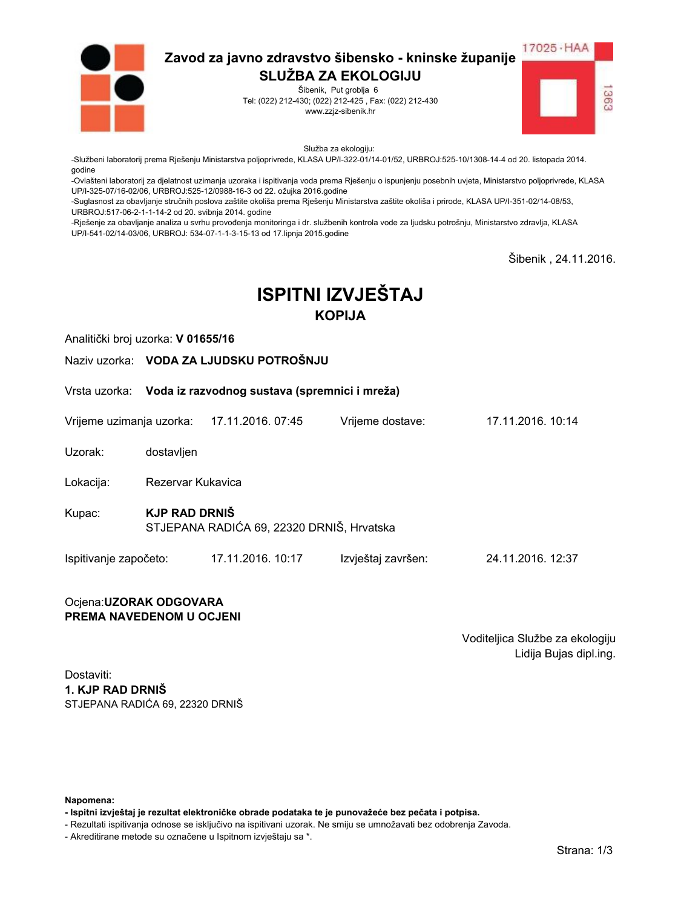

Šibenik, Put groblja 6 Tel: (022) 212-430; (022) 212-425, Fax: (022) 212-430 www.zzjz-sibenik.hr



Služba za ekologiju:

-Službeni laboratorij prema Rješenju Ministarstva poljoprivrede, KLASA UP/I-322-01/14-01/52, URBROJ:525-10/1308-14-4 od 20. listopada 2014. godine

-Ovlašteni laboratorij za djelatnost uzimanja uzoraka i ispitivanja voda prema Rješenju o ispunjenju posebnih uvjeta, Ministarstvo poljoprivrede, KLASA UP/I-325-07/16-02/06. URBROJ:525-12/0988-16-3 od 22. ožujka 2016.godine

-Suglasnost za obavljanje stručnih poslova zaštite okoliša prema Rješenju Ministarstva zaštite okoliša i prirode, KLASA UP/I-351-02/14-08/53, URBROJ:517-06-2-1-1-14-2 od 20. svibnja 2014. godine

-Rješenje za obavljanje analiza u svrhu provođenja monitoringa i dr. službenih kontrola vode za ljudsku potrošnju, Ministarstvo zdravlja, KLASA UP/I-541-02/14-03/06, URBROJ: 534-07-1-1-3-15-13 od 17.lipnja 2015.godine

Šibenik. 24.11.2016.

# **ISPITNI IZVJEŠTAJ KOPIJA**

Analitički broj uzorka: V 01655/16

Naziv uzorka: VODA ZA LJUDSKU POTROŠNJU

Vrsta uzorka: Voda iz razvodnog sustava (spremnici i mreža)

Vrijeme uzimanja uzorka: 17.11.2016. 07:45 Vriieme dostave:

Uzorak: dostavljen

Lokacija: Rezervar Kukavica

**KJP RAD DRNIŠ** Kupac: STJEPANA RADIĆA 69, 22320 DRNIŠ, Hrvatska

Ispitivanje započeto: 17.11.2016. 10:17 Izvještaj završen: 24.11.2016. 12:37

#### Ocjena: UZORAK ODGOVARA PREMA NAVEDENOM U OCJENI

Voditeljica Službe za ekologiju Lidija Bujas dipl.ing.

17 11 2016 10:14

Dostaviti: 1. KJP RAD DRNIŠ STJEPANA RADIĆA 69. 22320 DRNIŠ

Napomena:

- Ispitni izvještaj je rezultat elektroničke obrade podataka te je punovažeće bez pečata i potpisa.

- Rezultati ispitivanja odnose se isključivo na ispitivani uzorak. Ne smiju se umnožavati bez odobrenja Zavoda.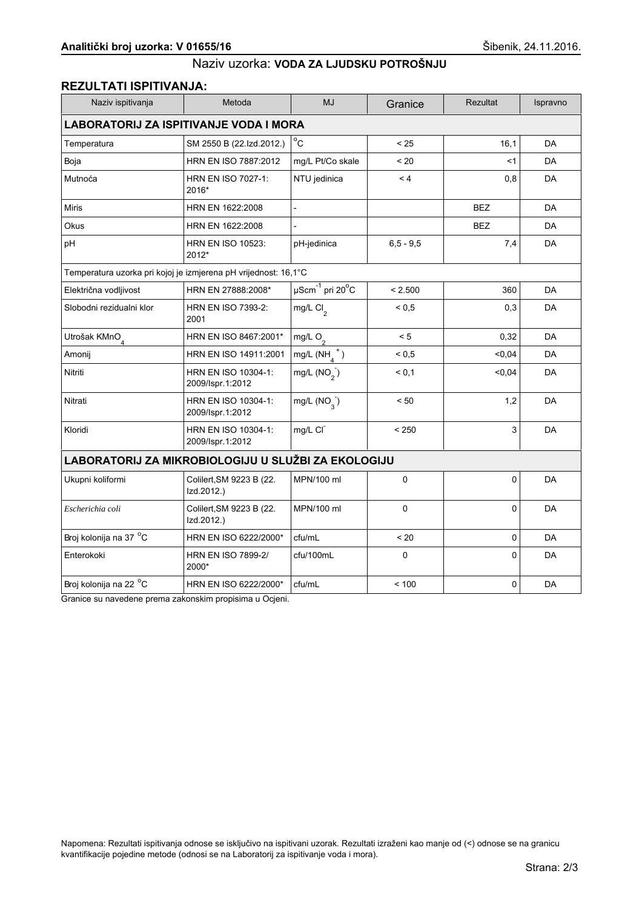## **REZULTATI ISPITIVANJA:**

| Naziv ispitivanja                                               | Metoda                                  | <b>MJ</b>                                | Granice       | <b>Rezultat</b> | Ispravno  |  |
|-----------------------------------------------------------------|-----------------------------------------|------------------------------------------|---------------|-----------------|-----------|--|
| <b>LABORATORIJ ZA ISPITIVANJE VODA I MORA</b>                   |                                         |                                          |               |                 |           |  |
| Temperatura                                                     | SM 2550 B (22.Izd.2012.)                | $^{\circ}$ C                             | < 25          | 16,1            | DA        |  |
| Boja                                                            | HRN EN ISO 7887:2012                    | mg/L Pt/Co skale                         | < 20          | <1              | <b>DA</b> |  |
| Mutnoća                                                         | HRN EN ISO 7027-1:<br>2016*             | NTU jedinica                             | < 4           | 0,8             | <b>DA</b> |  |
| <b>Miris</b>                                                    | HRN EN 1622:2008                        | $\blacksquare$                           |               | <b>BEZ</b>      | <b>DA</b> |  |
| Okus                                                            | HRN EN 1622:2008                        |                                          |               | <b>BEZ</b>      | DA        |  |
| pH                                                              | <b>HRN EN ISO 10523:</b><br>2012*       | pH-jedinica                              | $6, 5 - 9, 5$ | 7,4             | <b>DA</b> |  |
| Temperatura uzorka pri kojoj je izmjerena pH vrijednost: 16,1°C |                                         |                                          |               |                 |           |  |
| Električna vodljivost                                           | HRN EN 27888:2008*                      | $\overline{\mu\text{Scm}}^{-1}$ pri 20°C | < 2.500       | 360             | <b>DA</b> |  |
| Slobodni rezidualni klor                                        | <b>HRN EN ISO 7393-2:</b><br>2001       | mg/L Cl <sub>2</sub>                     | ${}_{0.5}$    | 0,3             | DA        |  |
| Utrošak KMnO <sub>4</sub>                                       | HRN EN ISO 8467:2001*                   | mg/L $O_2$                               | < 5           | 0,32            | DA        |  |
| Amonij                                                          | HRN EN ISO 14911:2001                   | mg/L $(NH_A^+)$                          | ${}_{0.5}$    | 0.04            | <b>DA</b> |  |
| Nitriti                                                         | HRN EN ISO 10304-1:<br>2009/Ispr.1:2012 | mg/L $(NO2)$                             | < 0.1         | 0,04            | DA        |  |
| Nitrati                                                         | HRN EN ISO 10304-1:<br>2009/Ispr.1:2012 | mg/L $(NO_3^-)$                          | < 50          | 1,2             | DA        |  |
| Kloridi                                                         | HRN EN ISO 10304-1:<br>2009/Ispr.1:2012 | mg/L CI                                  | < 250         | 3               | DA        |  |
| LABORATORIJ ZA MIKROBIOLOGIJU U SLUŽBI ZA EKOLOGIJU             |                                         |                                          |               |                 |           |  |
| Ukupni koliformi                                                | Colilert, SM 9223 B (22.<br>Izd.2012.)  | MPN/100 ml                               | 0             | 0               | <b>DA</b> |  |
| Escherichia coli                                                | Colilert, SM 9223 B (22.<br>Izd.2012.)  | MPN/100 ml                               | 0             | 0               | DA        |  |
| Broj kolonija na 37 °C                                          | HRN EN ISO 6222/2000*                   | cfu/mL                                   | $~<$ 20       | $\mathbf 0$     | <b>DA</b> |  |
| Enterokoki                                                      | <b>HRN EN ISO 7899-2/</b><br>2000*      | cfu/100mL                                | $\mathbf 0$   | $\Omega$        | DA        |  |
| Broj kolonija na 22 °C                                          | HRN EN ISO 6222/2000*                   | cfu/mL                                   | < 100         | 0               | DA        |  |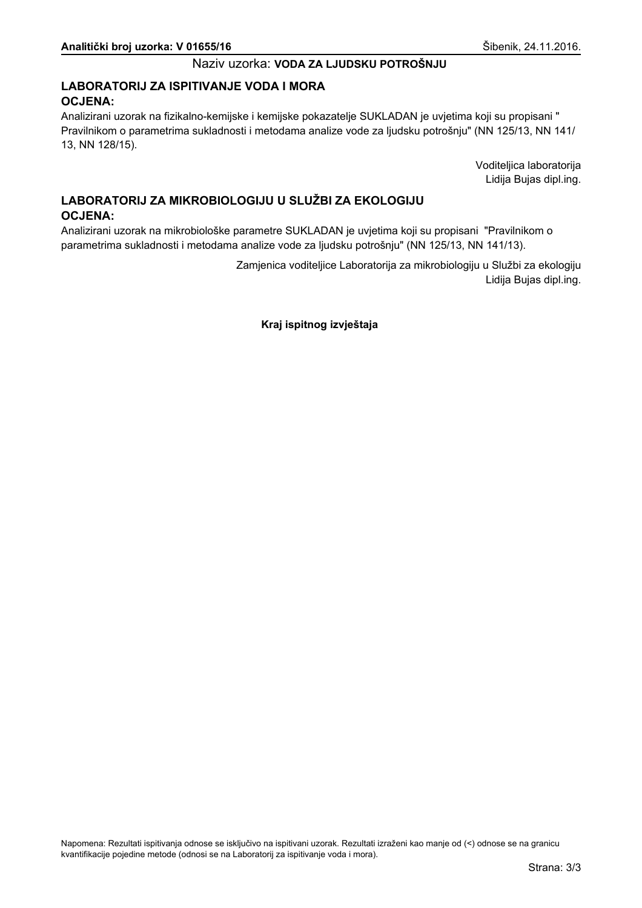## LABORATORIJ ZA ISPITIVANJE VODA I MORA **OCJENA:**

Analizirani uzorak na fizikalno-kemijske i kemijske pokazatelje SUKLADAN je uvjetima koji su propisani " Pravilnikom o parametrima sukladnosti i metodama analize vode za ljudsku potrošnju" (NN 125/13, NN 141/ 13, NN 128/15).

> Voditeljica laboratorija Lidija Bujas dipl.ing.

# LABORATORIJ ZA MIKROBIOLOGIJU U SLUŽBI ZA EKOLOGIJU **OCJENA:**

Analizirani uzorak na mikrobiološke parametre SUKLADAN je uvjetima koji su propisani "Pravilnikom o parametrima sukladnosti i metodama analize vode za ljudsku potrošnju" (NN 125/13, NN 141/13).

> Zamjenica voditeljice Laboratorija za mikrobiologiju u Službi za ekologiju Lidija Bujas dipl.ing.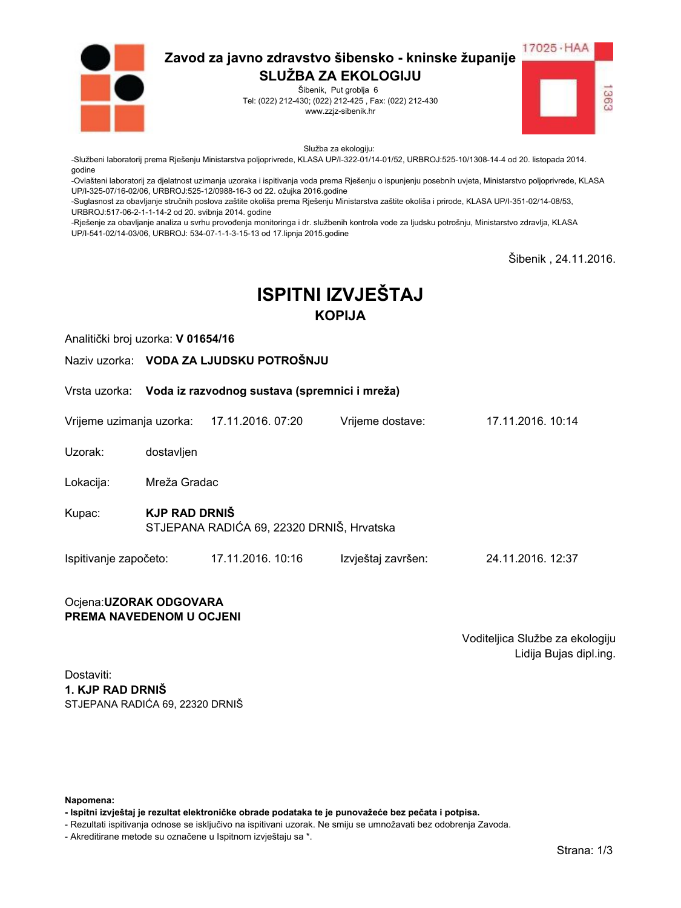

Šibenik, Put groblja 6 Tel: (022) 212-430; (022) 212-425, Fax: (022) 212-430 www.zzjz-sibenik.hr



Služba za ekologiju:

-Službeni laboratorij prema Rješenju Ministarstva poljoprivrede, KLASA UP/I-322-01/14-01/52, URBROJ:525-10/1308-14-4 od 20. listopada 2014. godine

-Ovlašteni laboratorij za djelatnost uzimanja uzoraka i ispitivanja voda prema Rješenju o ispunjenju posebnih uvjeta, Ministarstvo poljoprivrede, KLASA UP/I-325-07/16-02/06. URBROJ:525-12/0988-16-3 od 22. ožujka 2016.godine

-Suglasnost za obavljanje stručnih poslova zaštite okoliša prema Rješenju Ministarstva zaštite okoliša i prirode, KLASA UP/I-351-02/14-08/53, URBROJ:517-06-2-1-1-14-2 od 20. svibnja 2014. godine

-Rješenje za obavljanje analiza u svrhu provođenja monitoringa i dr. službenih kontrola vode za ljudsku potrošnju, Ministarstvo zdravlja, KLASA UP/I-541-02/14-03/06, URBROJ: 534-07-1-1-3-15-13 od 17.lipnja 2015.godine

Šibenik. 24.11.2016.

# **ISPITNI IZVJEŠTAJ KOPIJA**

Analitički broj uzorka: V 01654/16

Naziv uzorka: VODA ZA LJUDSKU POTROŠNJU

Vrsta uzorka: Voda iz razvodnog sustava (spremnici i mreža)

Vrijeme uzimanja uzorka: 17.11.2016. 07:20 Vriieme dostave:

Uzorak: dostavljen

Mreža Gradac Lokacija:

**KJP RAD DRNIŠ** Kupac: STJEPANA RADIĆA 69, 22320 DRNIŠ, Hrvatska

Ispitivanje započeto: 17.11.2016. 10:16 Izvještaj završen: 24.11.2016. 12:37

#### Ocjena: UZORAK ODGOVARA PREMA NAVEDENOM U OCJENI

Voditeljica Službe za ekologiju Lidija Bujas dipl.ing.

17 11 2016 10:14

Dostaviti: 1. KJP RAD DRNIŠ STJEPANA RADIĆA 69. 22320 DRNIŠ

Napomena:

- Ispitni izvještaj je rezultat elektroničke obrade podataka te je punovažeće bez pečata i potpisa.

- Rezultati ispitivanja odnose se isključivo na ispitivani uzorak. Ne smiju se umnožavati bez odobrenja Zavoda.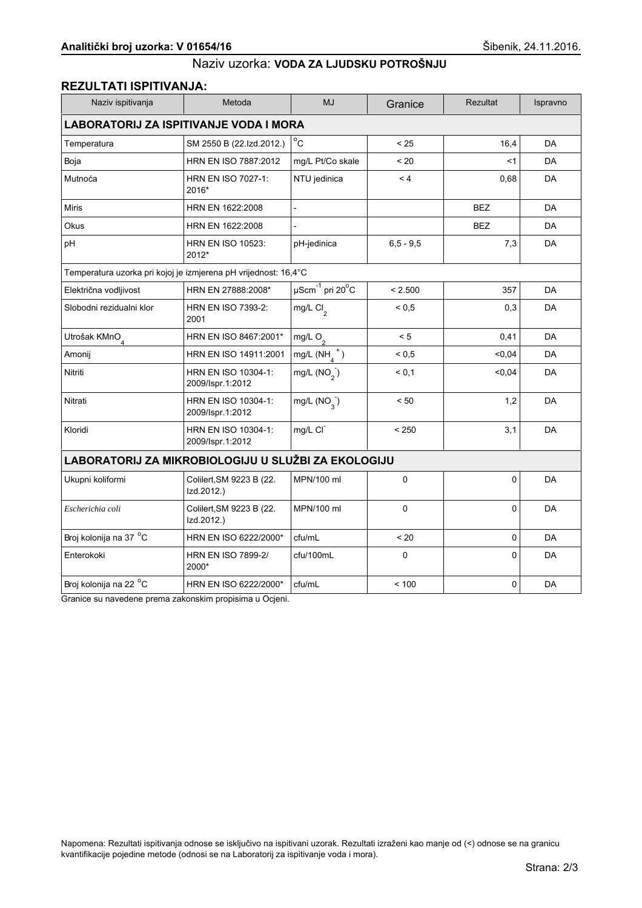## **REZULTATI ISPITIVANJA:**

| Naziv ispitivanja                                               | Metoda                                  | <b>MJ</b>                             | Granice       | <b>Rezultat</b> | Ispravno  |  |
|-----------------------------------------------------------------|-----------------------------------------|---------------------------------------|---------------|-----------------|-----------|--|
| <b>LABORATORIJ ZA ISPITIVANJE VODA I MORA</b>                   |                                         |                                       |               |                 |           |  |
| Temperatura                                                     | SM 2550 B (22.Izd.2012.)                | $^{\circ}$ C                          | < 25          | 16,4            | DA        |  |
| Boja                                                            | HRN EN ISO 7887:2012                    | mg/L Pt/Co skale                      | < 20          | <1              | <b>DA</b> |  |
| Mutnoća                                                         | HRN EN ISO 7027-1:<br>2016*             | NTU jedinica                          | < 4           | 0,68            | <b>DA</b> |  |
| <b>Miris</b>                                                    | HRN EN 1622:2008                        | $\blacksquare$                        |               | <b>BEZ</b>      | <b>DA</b> |  |
| Okus                                                            | HRN EN 1622:2008                        |                                       |               | <b>BEZ</b>      | DA        |  |
| pH                                                              | <b>HRN EN ISO 10523:</b><br>2012*       | pH-jedinica                           | $6, 5 - 9, 5$ | 7,3             | <b>DA</b> |  |
| Temperatura uzorka pri kojoj je izmjerena pH vrijednost: 16,4°C |                                         |                                       |               |                 |           |  |
| Električna vodljivost                                           | HRN EN 27888:2008*                      | $\mu$ Scm $^{-1}$ pri 20 $^{\circ}$ C | < 2.500       | 357             | <b>DA</b> |  |
| Slobodni rezidualni klor                                        | <b>HRN EN ISO 7393-2:</b><br>2001       | mg/L Cl <sub>2</sub>                  | ${}_{0.5}$    | 0,3             | DA        |  |
| Utrošak KMnO <sub>4</sub>                                       | HRN EN ISO 8467:2001*                   | mg/L $O_2$                            | < 5           | 0,41            | DA        |  |
| Amonij                                                          | HRN EN ISO 14911:2001                   | mg/L $(NH_A^+)$                       | ${}_{0.5}$    | 0.04            | <b>DA</b> |  |
| Nitriti                                                         | HRN EN ISO 10304-1:<br>2009/Ispr.1:2012 | mg/L $(NO2)$                          | < 0.1         | 0,04            | DA        |  |
| Nitrati                                                         | HRN EN ISO 10304-1:<br>2009/Ispr.1:2012 | mg/L $(NO_{3})$                       | < 50          | 1,2             | DA        |  |
| Kloridi                                                         | HRN EN ISO 10304-1:<br>2009/Ispr.1:2012 | mg/L CI                               | < 250         | 3,1             | DA        |  |
| LABORATORIJ ZA MIKROBIOLOGIJU U SLUŽBI ZA EKOLOGIJU             |                                         |                                       |               |                 |           |  |
| Ukupni koliformi                                                | Colilert, SM 9223 B (22.<br>Izd.2012.)  | MPN/100 ml                            | 0             | 0               | <b>DA</b> |  |
| Escherichia coli                                                | Colilert, SM 9223 B (22.<br>Izd.2012.)  | MPN/100 ml                            | 0             | 0               | DA        |  |
| Broj kolonija na 37 °C                                          | HRN EN ISO 6222/2000*                   | cfu/mL                                | $~<$ 20       | $\mathbf 0$     | <b>DA</b> |  |
| Enterokoki                                                      | <b>HRN EN ISO 7899-2/</b><br>2000*      | cfu/100mL                             | $\mathbf 0$   | $\Omega$        | DA        |  |
| Broj kolonija na 22 °C                                          | HRN EN ISO 6222/2000*                   | cfu/mL                                | < 100         | 0               | DA        |  |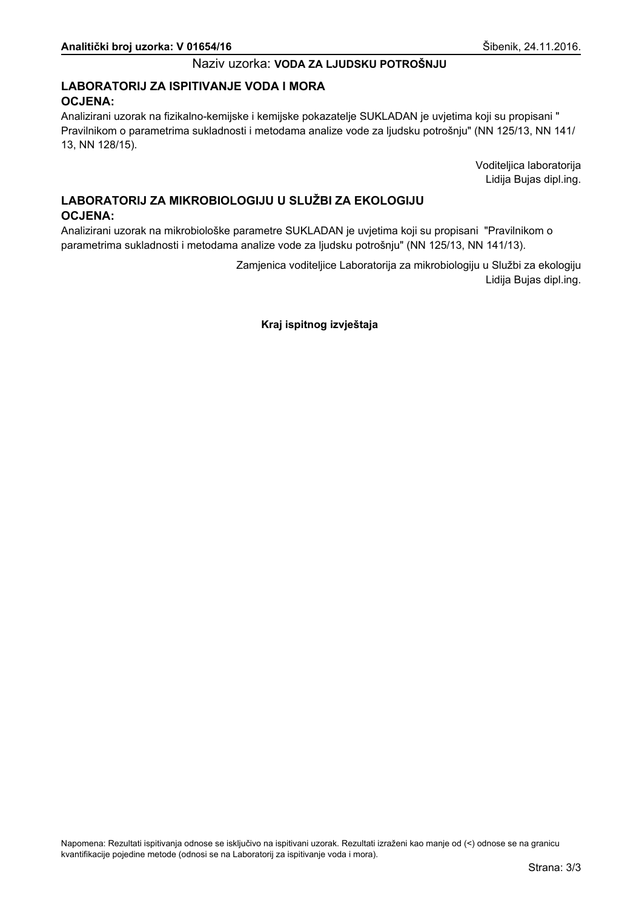## LABORATORIJ ZA ISPITIVANJE VODA I MORA **OCJENA:**

Analizirani uzorak na fizikalno-kemijske i kemijske pokazatelje SUKLADAN je uvjetima koji su propisani " Pravilnikom o parametrima sukladnosti i metodama analize vode za ljudsku potrošnju" (NN 125/13, NN 141/ 13, NN 128/15).

> Voditeljica laboratorija Lidija Bujas dipl.ing.

# LABORATORIJ ZA MIKROBIOLOGIJU U SLUŽBI ZA EKOLOGIJU **OCJENA:**

Analizirani uzorak na mikrobiološke parametre SUKLADAN je uvjetima koji su propisani "Pravilnikom o parametrima sukladnosti i metodama analize vode za ljudsku potrošnju" (NN 125/13, NN 141/13).

> Zamjenica voditeljice Laboratorija za mikrobiologiju u Službi za ekologiju Lidija Bujas dipl.ing.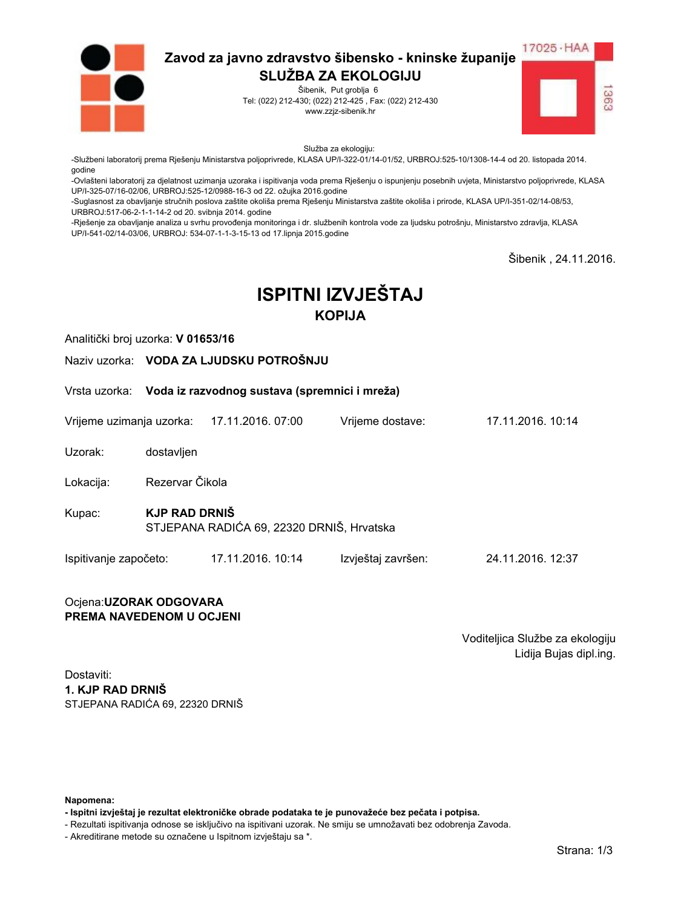

Šibenik, Put groblja 6 Tel: (022) 212-430; (022) 212-425, Fax: (022) 212-430 www.zzjz-sibenik.hr



Služba za ekologiju:

-Službeni laboratorij prema Rješenju Ministarstva poljoprivrede, KLASA UP/I-322-01/14-01/52, URBROJ:525-10/1308-14-4 od 20. listopada 2014. godine

-Ovlašteni laboratorij za djelatnost uzimanja uzoraka i ispitivanja voda prema Rješenju o ispunjenju posebnih uvjeta, Ministarstvo poljoprivrede, KLASA UP/I-325-07/16-02/06. URBROJ:525-12/0988-16-3 od 22. ožujka 2016.godine

-Suglasnost za obavljanje stručnih poslova zaštite okoliša prema Rješenju Ministarstva zaštite okoliša i prirode, KLASA UP/I-351-02/14-08/53, URBROJ:517-06-2-1-1-14-2 od 20. svibnja 2014. godine

-Rješenje za obavljanje analiza u svrhu provođenja monitoringa i dr. službenih kontrola vode za ljudsku potrošnju, Ministarstvo zdravlja, KLASA UP/I-541-02/14-03/06, URBROJ: 534-07-1-1-3-15-13 od 17.lipnja 2015.godine

Šibenik. 24.11.2016.

# **ISPITNI IZVJEŠTAJ KOPIJA**

Analitički broj uzorka: V 01653/16

Naziv uzorka: VODA ZA LJUDSKU POTROŠNJU

Vrsta uzorka: Voda iz razvodnog sustava (spremnici i mreža)

Vrijeme uzimanja uzorka: 17.11.2016. 07:00 Vriieme dostave:

Uzorak: dostavljen

Rezervar Čikola Lokacija:

**KJP RAD DRNIŠ** Kupac: STJEPANA RADIĆA 69, 22320 DRNIŠ, Hrvatska

Ispitivanje započeto: 17.11.2016. 10:14 Izvještaj završen: 24.11.2016. 12:37

#### Ocjena: UZORAK ODGOVARA PREMA NAVEDENOM U OCJENI

Voditeljica Službe za ekologiju Lidija Bujas dipl.ing.

17 11 2016 10:14

Dostaviti: 1. KJP RAD DRNIŠ STJEPANA RADIĆA 69. 22320 DRNIŠ

Napomena:

- Ispitni izvještaj je rezultat elektroničke obrade podataka te je punovažeće bez pečata i potpisa.

- Rezultati ispitivanja odnose se isključivo na ispitivani uzorak. Ne smiju se umnožavati bez odobrenja Zavoda.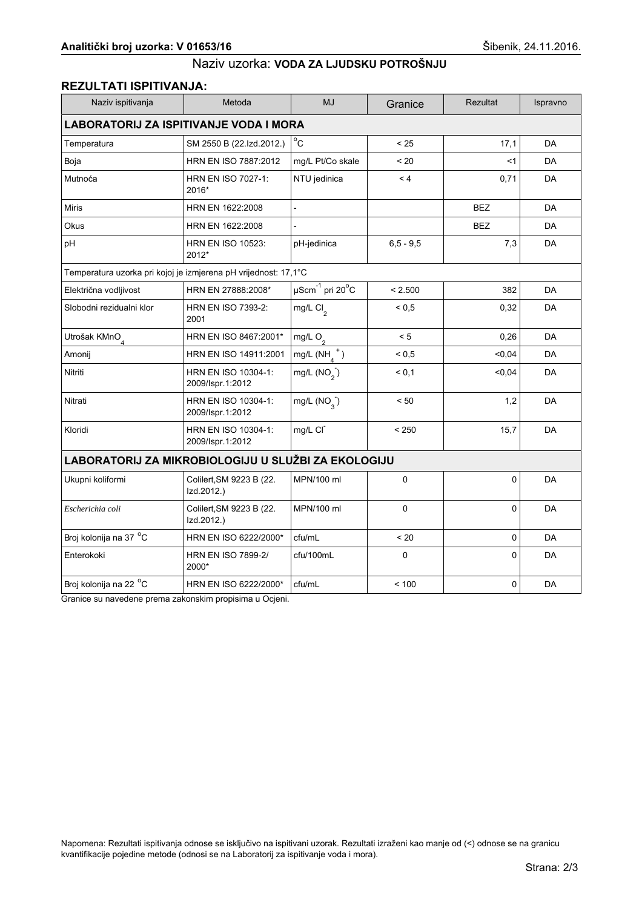#### REZULTATI ISPITIVANJA:

| Naziv ispitivanja                                               | Metoda                                  | <b>MJ</b>                                     | Granice      | <b>Rezultat</b> | Ispravno  |  |
|-----------------------------------------------------------------|-----------------------------------------|-----------------------------------------------|--------------|-----------------|-----------|--|
| <b>LABORATORIJ ZA ISPITIVANJE VODA I MORA</b>                   |                                         |                                               |              |                 |           |  |
| Temperatura                                                     | SM 2550 B (22.Izd.2012.)                | $^{\circ}$ C                                  | < 25         | 17,1            | DA        |  |
| Boja                                                            | HRN EN ISO 7887:2012                    | mg/L Pt/Co skale                              | < 20         | <1              | <b>DA</b> |  |
| Mutnoća                                                         | HRN EN ISO 7027-1:<br>2016*             | NTU jedinica                                  | $\leq 4$     | 0,71            | <b>DA</b> |  |
| <b>Miris</b>                                                    | HRN EN 1622:2008                        | $\overline{a}$                                |              | <b>BEZ</b>      | <b>DA</b> |  |
| Okus                                                            | HRN EN 1622:2008                        |                                               |              | <b>BEZ</b>      | DA        |  |
| pH                                                              | <b>HRN EN ISO 10523:</b><br>2012*       | pH-jedinica                                   | $6.5 - 9.5$  | 7,3             | DA        |  |
| Temperatura uzorka pri kojoj je izmjerena pH vrijednost: 17,1°C |                                         |                                               |              |                 |           |  |
| Električna vodljivost                                           | HRN EN 27888:2008*                      | $\mu$ Scm <sup>-1</sup> pri 20 <sup>°</sup> C | < 2.500      | 382             | DA        |  |
| Slobodni rezidualni klor                                        | HRN EN ISO 7393-2:<br>2001              | mg/L Cl <sub>2</sub>                          | ${}^{5}$ 0.5 | 0,32            | <b>DA</b> |  |
| Utrošak KMnO <sub>4</sub>                                       | HRN EN ISO 8467:2001*                   | mg/L $O_2$                                    | < 5          | 0,26            | <b>DA</b> |  |
| Amonij                                                          | HRN EN ISO 14911:2001                   | mg/L $(NH_A^+)$                               | ${}^{5}$ 0.5 | < 0,04          | <b>DA</b> |  |
| Nitriti                                                         | HRN EN ISO 10304-1:<br>2009/Ispr.1:2012 | mg/L $(NO2)$                                  | < 0.1        | $0,04$          | DA        |  |
| Nitrati                                                         | HRN EN ISO 10304-1:<br>2009/Ispr.1:2012 | mg/L $(NO_{3})$                               | < 50         | 1,2             | DA        |  |
| Kloridi                                                         | HRN EN ISO 10304-1:<br>2009/Ispr.1:2012 | mg/L CI                                       | < 250        | 15,7            | DA        |  |
| LABORATORIJ ZA MIKROBIOLOGIJU U SLUŽBI ZA EKOLOGIJU             |                                         |                                               |              |                 |           |  |
| Ukupni koliformi                                                | Colilert, SM 9223 B (22.<br>Izd.2012.)  | MPN/100 ml                                    | 0            | 0               | DA        |  |
| Escherichia coli                                                | Colilert, SM 9223 B (22.<br>Izd.2012.)  | MPN/100 ml                                    | 0            | 0               | <b>DA</b> |  |
| Broj kolonija na 37 °C                                          | HRN EN ISO 6222/2000*                   | cfu/mL                                        | < 20         | 0               | DA        |  |
| Enterokoki                                                      | <b>HRN EN ISO 7899-2/</b><br>2000*      | cfu/100mL                                     | 0            | 0               | DA        |  |
| Broj kolonija na 22 <sup>o</sup> C                              | HRN EN ISO 6222/2000*                   | cfu/mL                                        | < 100        | 0               | DA        |  |